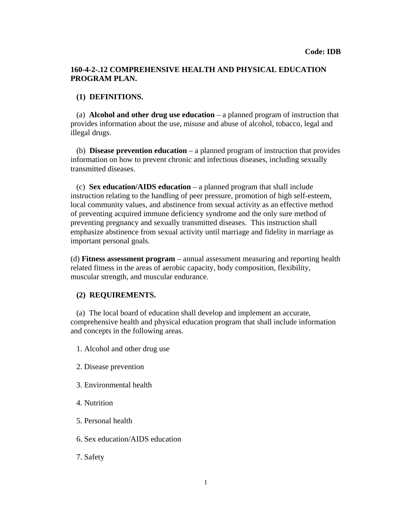## **160-4-2-.12 COMPREHENSIVE HEALTH AND PHYSICAL EDUCATION PROGRAM PLAN.**

## **(1) DEFINITIONS.**

 (a) **Alcohol and other drug use education** – a planned program of instruction that provides information about the use, misuse and abuse of alcohol, tobacco, legal and illegal drugs.

 (b) **Disease prevention education** – a planned program of instruction that provides information on how to prevent chronic and infectious diseases, including sexually transmitted diseases.

 (c) **Sex education/AIDS education** – a planned program that shall include instruction relating to the handling of peer pressure, promotion of high self-esteem, local community values, and abstinence from sexual activity as an effective method of preventing acquired immune deficiency syndrome and the only sure method of preventing pregnancy and sexually transmitted diseases. This instruction shall emphasize abstinence from sexual activity until marriage and fidelity in marriage as important personal goals.

(d) **Fitness assessment program** – annual assessment measuring and reporting health related fitness in the areas of aerobic capacity, body composition, flexibility, muscular strength, and muscular endurance.

## **(2) REQUIREMENTS.**

 (a) The local board of education shall develop and implement an accurate, comprehensive health and physical education program that shall include information and concepts in the following areas.

- 1. Alcohol and other drug use
- 2. Disease prevention
- 3. Environmental health
- 4. Nutrition
- 5. Personal health
- 6. Sex education/AIDS education
- 7. Safety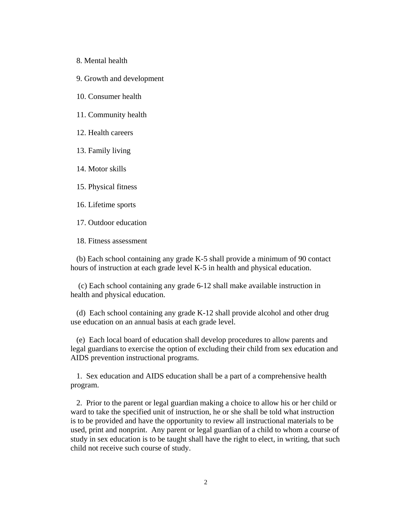- 8. Mental health
- 9. Growth and development
- 10. Consumer health
- 11. Community health
- 12. Health careers
- 13. Family living
- 14. Motor skills
- 15. Physical fitness
- 16. Lifetime sports
- 17. Outdoor education
- 18. Fitness assessment

(b) Each school containing any grade K-5 shall provide a minimum of 90 contact hours of instruction at each grade level K-5 in health and physical education.

 (c) Each school containing any grade 6-12 shall make available instruction in health and physical education.

 (d) Each school containing any grade K-12 shall provide alcohol and other drug use education on an annual basis at each grade level.

 (e) Each local board of education shall develop procedures to allow parents and legal guardians to exercise the option of excluding their child from sex education and AIDS prevention instructional programs.

1. Sex education and AIDS education shall be a part of a comprehensive health program.

 2. Prior to the parent or legal guardian making a choice to allow his or her child or ward to take the specified unit of instruction, he or she shall be told what instruction is to be provided and have the opportunity to review all instructional materials to be used, print and nonprint. Any parent or legal guardian of a child to whom a course of study in sex education is to be taught shall have the right to elect, in writing, that such child not receive such course of study.